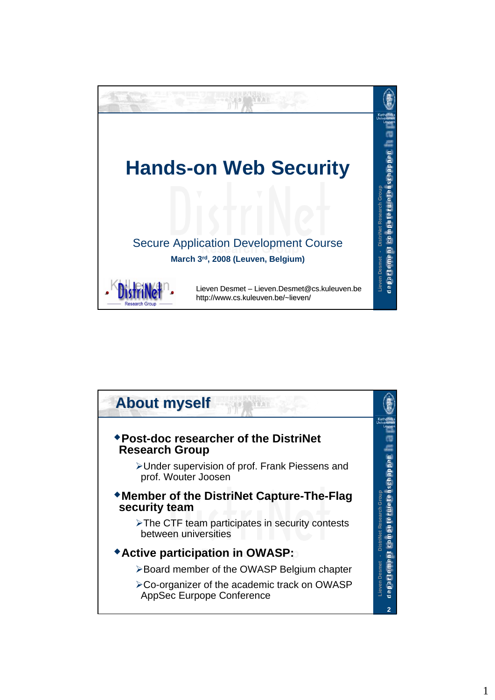

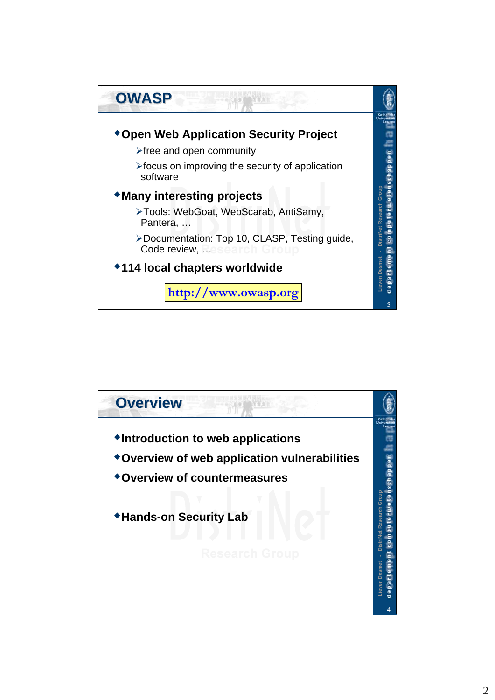

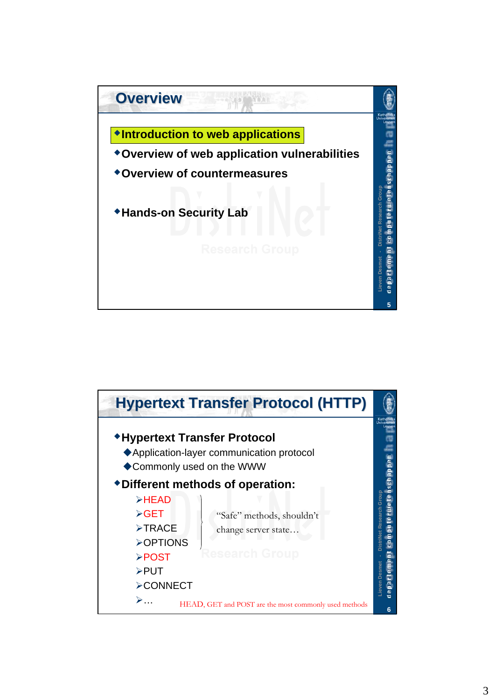

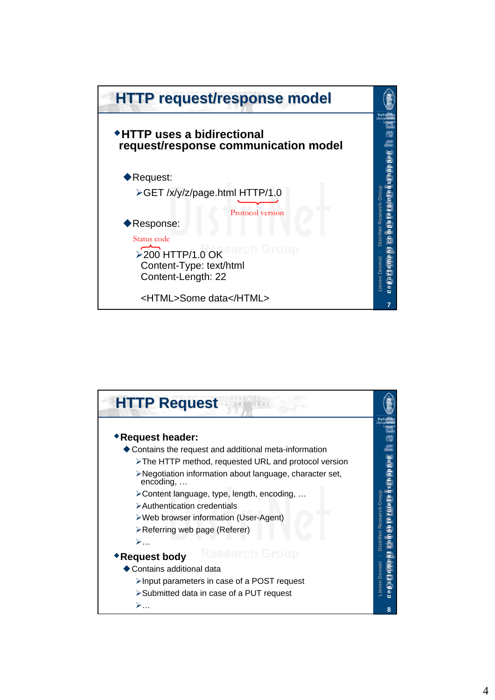

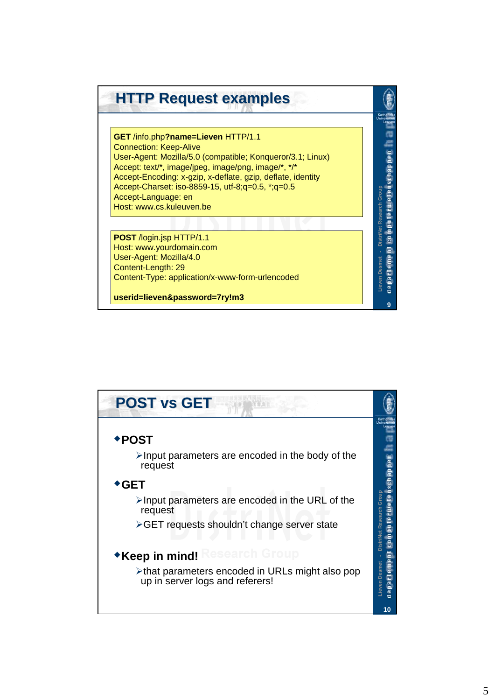

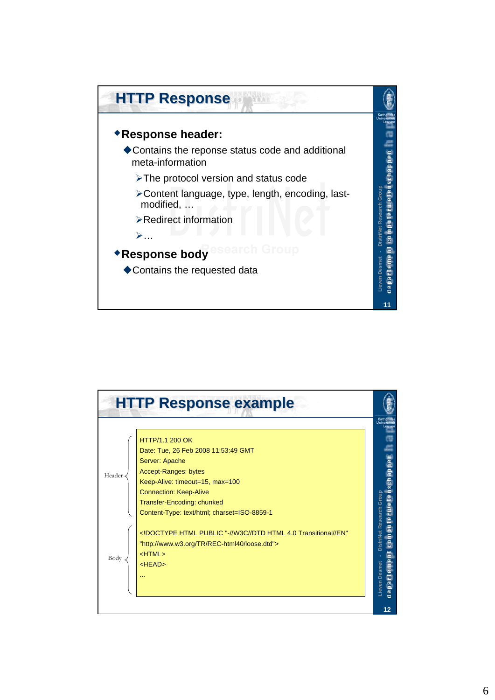

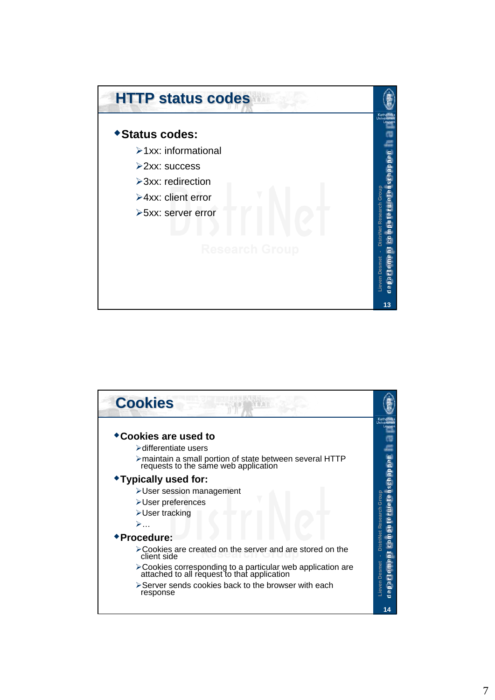

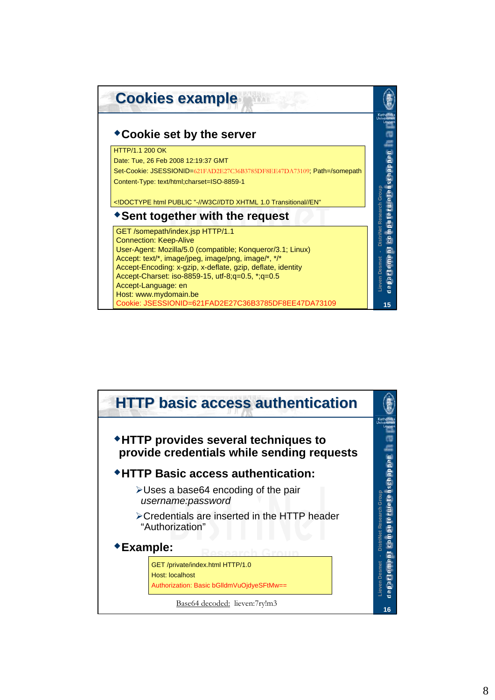

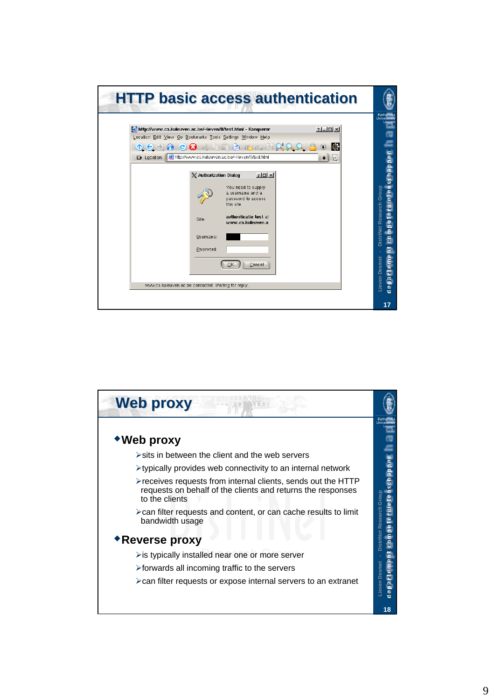

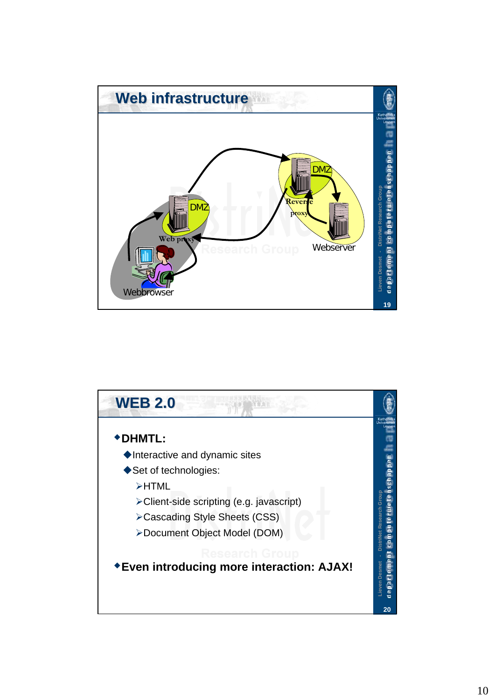

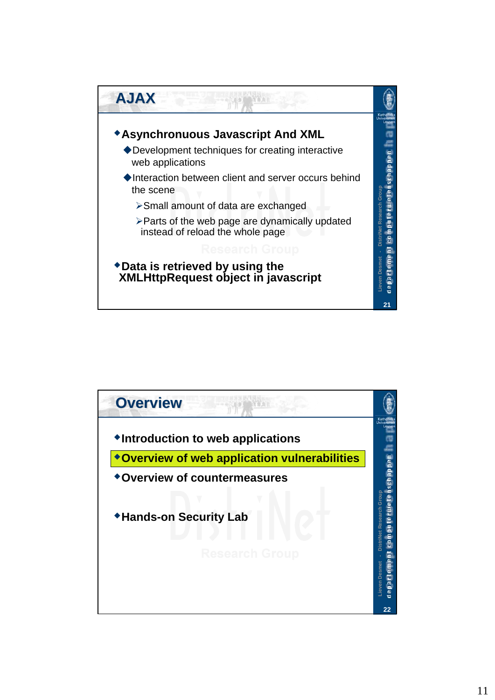

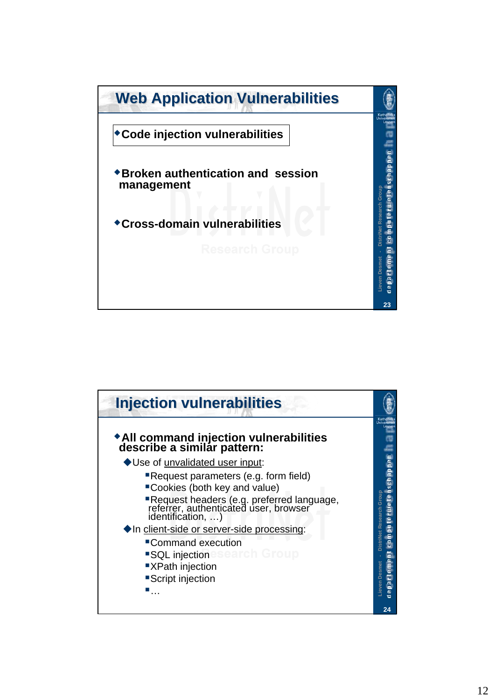

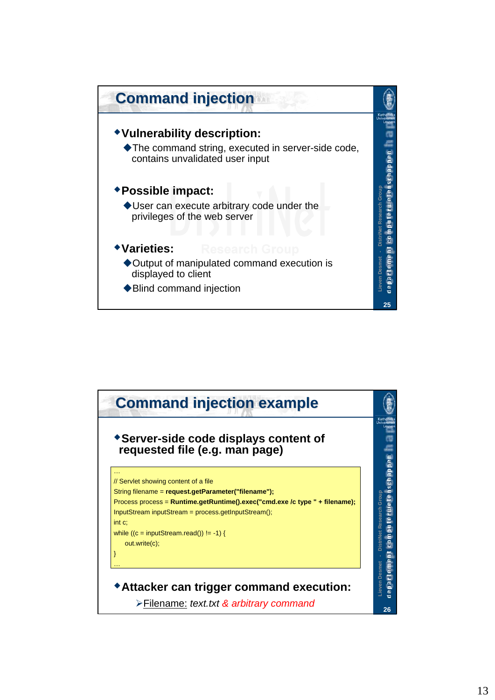

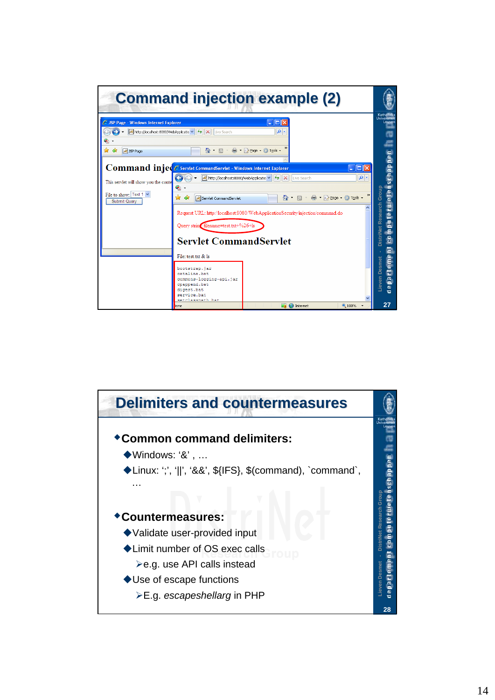|                                                                                                                                                                                                     |                                                                                                                                                                                                                            | <b>Command injection example (2)</b>                                                            |                                                    |                                                                                                                             |
|-----------------------------------------------------------------------------------------------------------------------------------------------------------------------------------------------------|----------------------------------------------------------------------------------------------------------------------------------------------------------------------------------------------------------------------------|-------------------------------------------------------------------------------------------------|----------------------------------------------------|-----------------------------------------------------------------------------------------------------------------------------|
| SP Page - Windows Internet Explorer<br>A http://localhost:8080/WebApplicatio v + + X<br>G,<br>☆<br>48<br>JSP Page<br>This servlet will show you the conte<br>File to show: Text 1 v<br>Submit Query | Live Search<br>$\cap$ $\cap$ $\cap$<br>Command injec escript CommandServlet - Windows Internet Explorer<br>A http://localhost:8080/WebApplicatio<br>G,<br>≪<br>52<br>Servlet CommandServlet                                | $\Box$ o $\times$<br>- م<br>■ · ② Page · ③ Tools ·<br>$\mathsf{X}$<br>$+ +$<br>Live Search<br>合 | $\ .\ $ o $\ $ x<br>- م<br>■ · i→ Page · ① Tools · | Katholiek<br><b>Universitei</b><br>Leuver<br>ē<br>$\overline{a}$<br>rwete                                                   |
|                                                                                                                                                                                                     | Ouery string filename=test.txt+%26+ls<br><b>Servlet CommandServlet</b><br>File: test.txt & Is<br>bootstrap.jar<br>catalina.bat<br>commons-loccinc-api.jar<br>cpappend.bat<br>digest.bat<br>service.bat<br>eatelassmath hat | Request URL: http://localhost:8080/WebApplicationSecurity/injection/command.do                  |                                                    | DistriNet Research Group<br>$\overline{e}$<br>a<br>Ē<br>irteme<br>Lieven Desmet<br>$\overline{\mathbf{a}}$<br>$\frac{e}{d}$ |
|                                                                                                                                                                                                     | one                                                                                                                                                                                                                        | $\bigcirc$ <b>C</b> Internet                                                                    | <b>4 100%</b>                                      | 27                                                                                                                          |

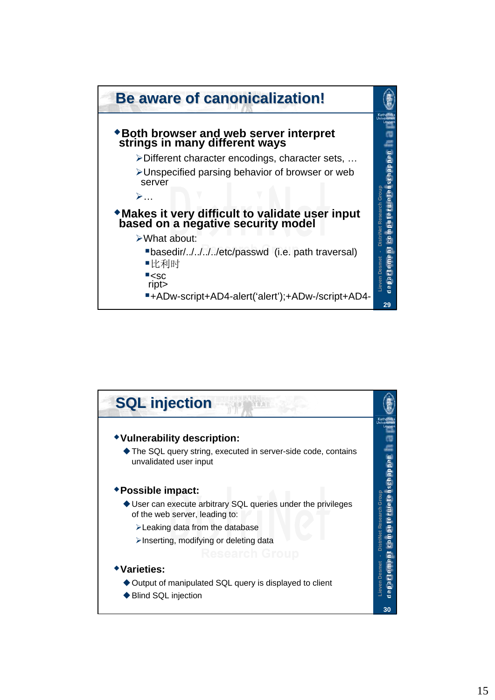

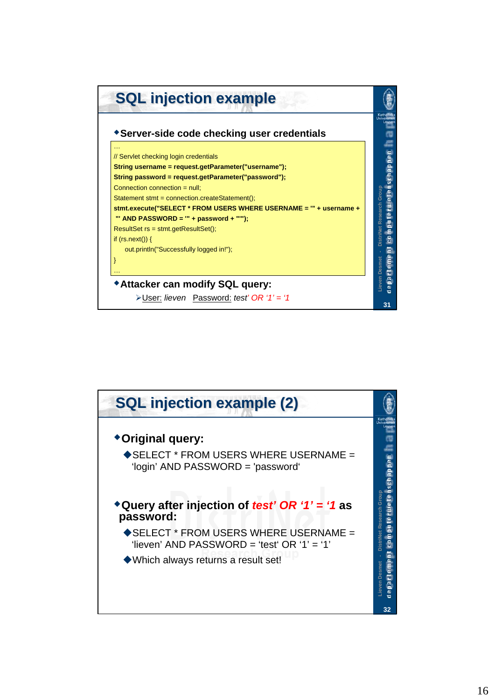

![](_page_15_Figure_1.jpeg)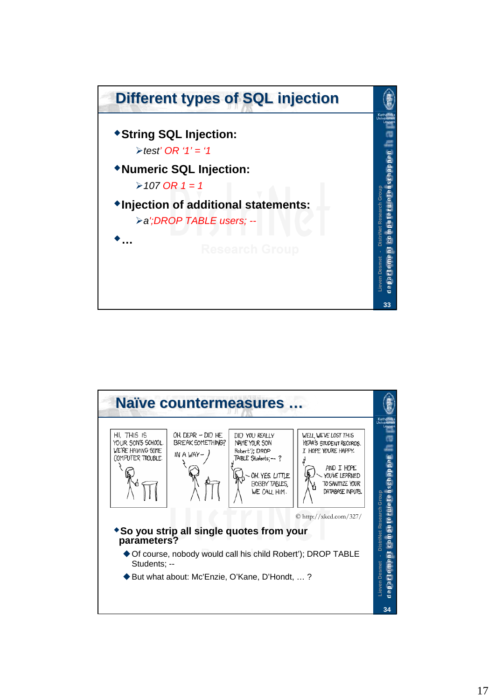![](_page_16_Figure_0.jpeg)

![](_page_16_Picture_1.jpeg)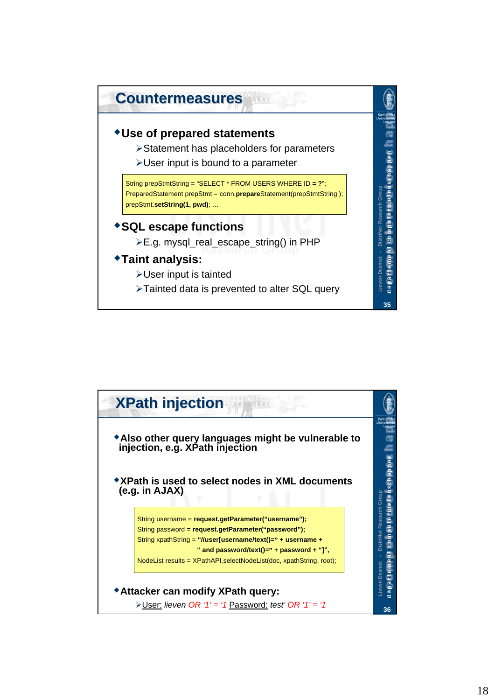![](_page_17_Figure_0.jpeg)

![](_page_17_Figure_1.jpeg)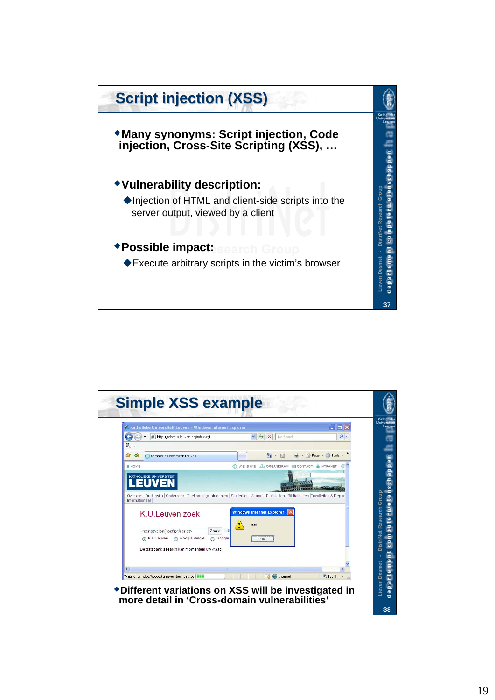![](_page_18_Figure_0.jpeg)

![](_page_18_Figure_1.jpeg)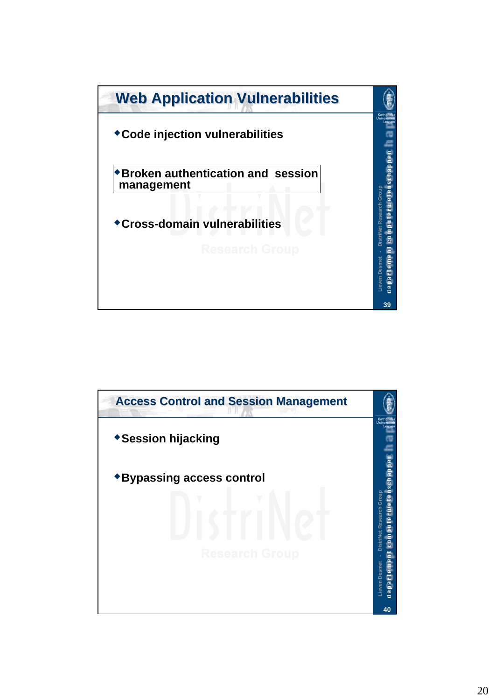![](_page_19_Figure_0.jpeg)

![](_page_19_Picture_1.jpeg)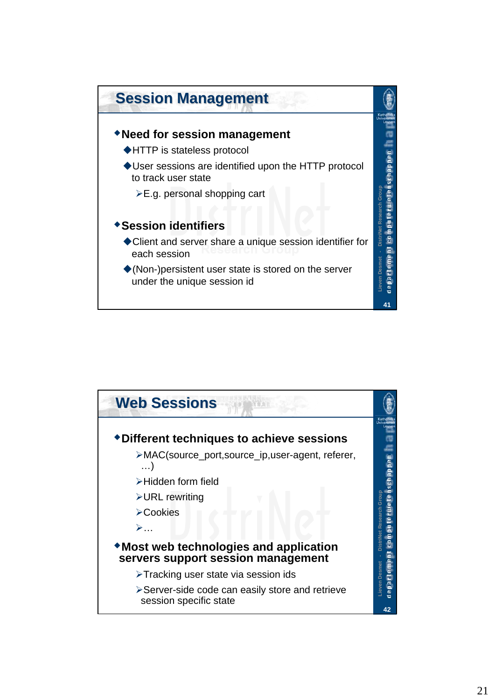![](_page_20_Figure_0.jpeg)

![](_page_20_Figure_1.jpeg)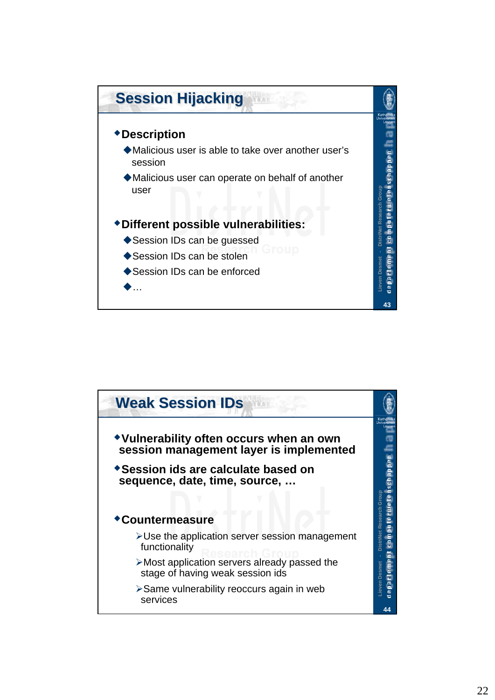![](_page_21_Figure_0.jpeg)

![](_page_21_Picture_1.jpeg)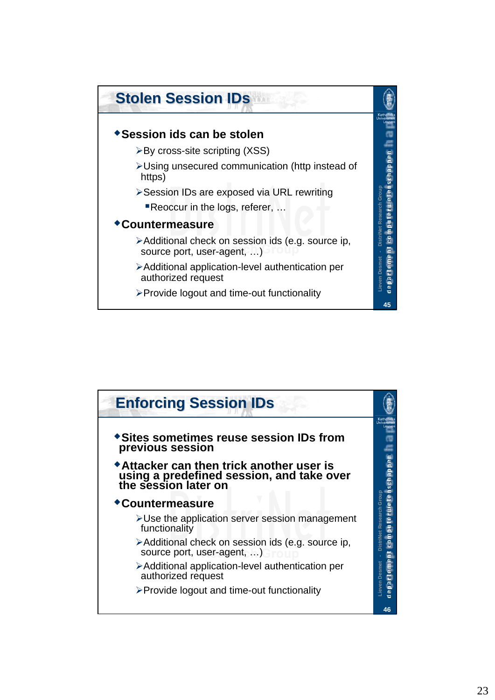![](_page_22_Figure_0.jpeg)

![](_page_22_Figure_1.jpeg)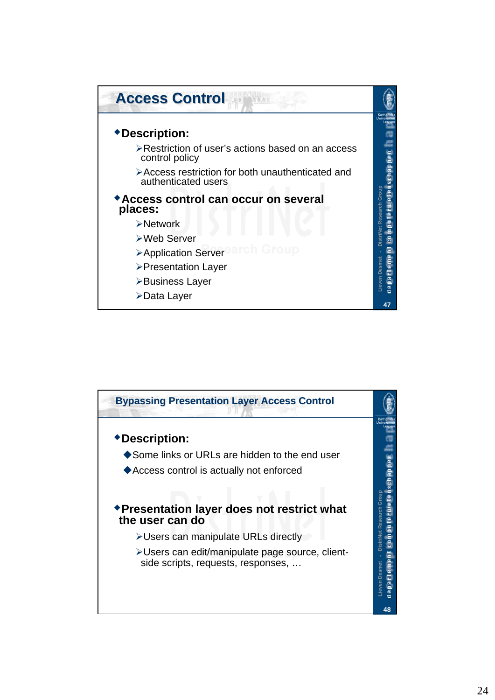![](_page_23_Figure_0.jpeg)

![](_page_23_Figure_1.jpeg)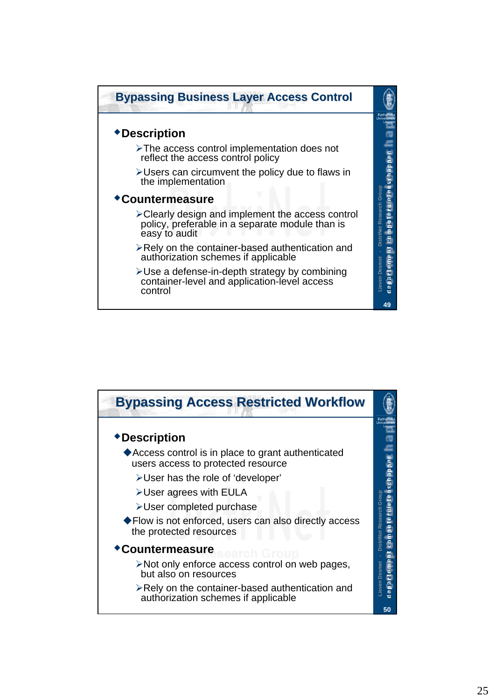![](_page_24_Figure_0.jpeg)

![](_page_24_Figure_1.jpeg)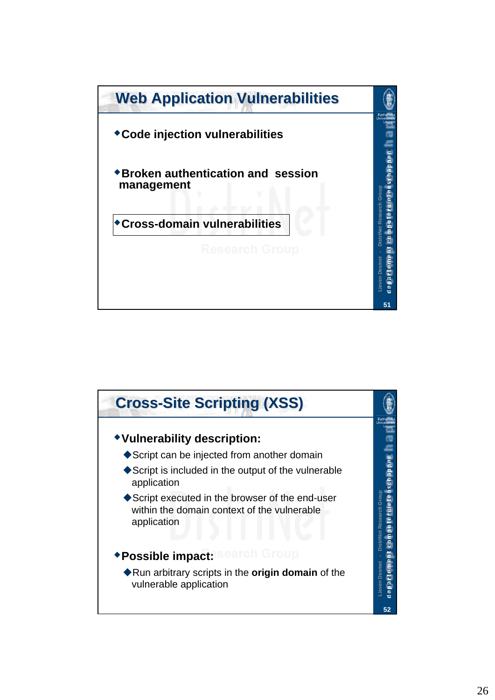![](_page_25_Figure_0.jpeg)

![](_page_25_Picture_1.jpeg)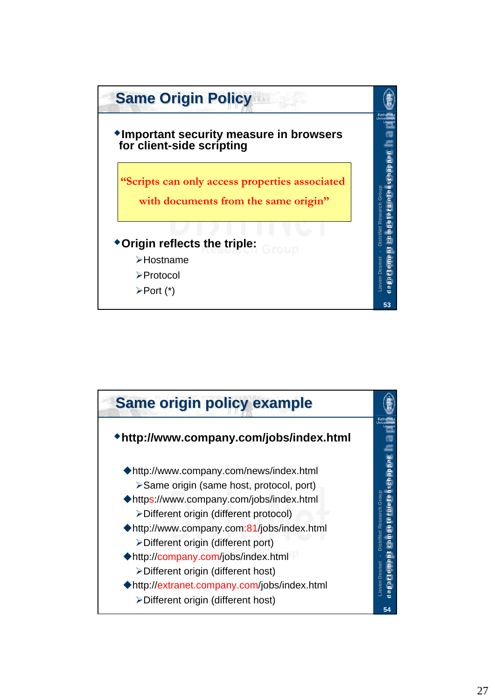![](_page_26_Figure_0.jpeg)

![](_page_26_Figure_1.jpeg)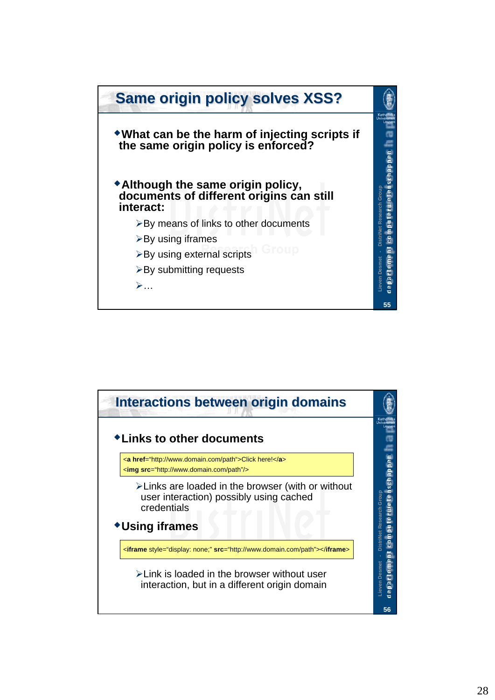![](_page_27_Figure_0.jpeg)

![](_page_27_Figure_1.jpeg)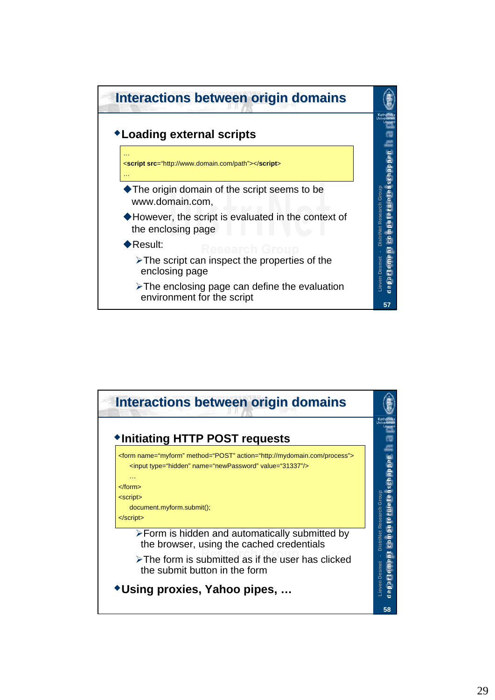![](_page_28_Figure_0.jpeg)

![](_page_28_Figure_1.jpeg)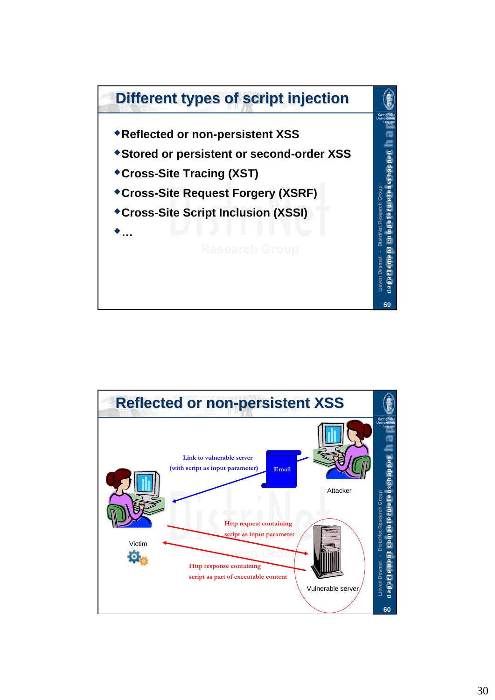![](_page_29_Figure_0.jpeg)

![](_page_29_Figure_1.jpeg)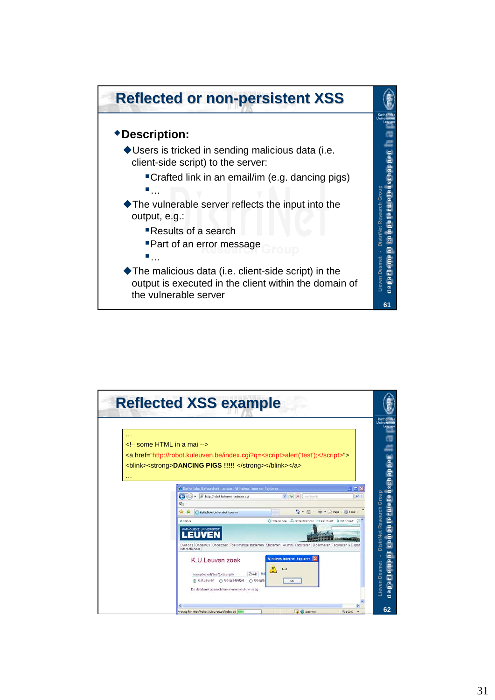![](_page_30_Figure_0.jpeg)

![](_page_30_Figure_1.jpeg)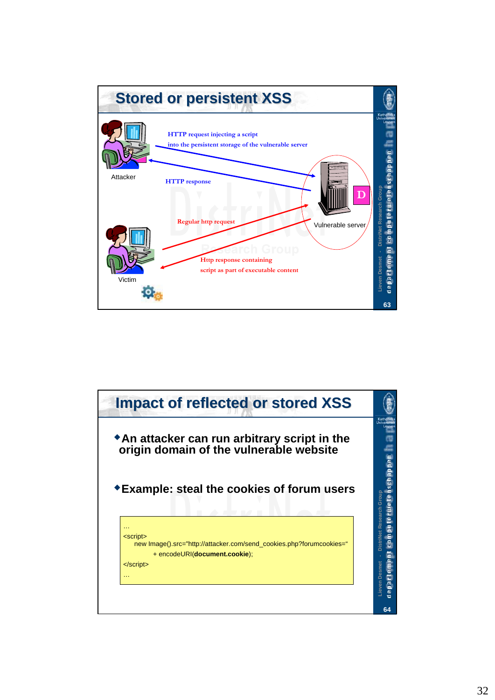![](_page_31_Figure_0.jpeg)

![](_page_31_Figure_1.jpeg)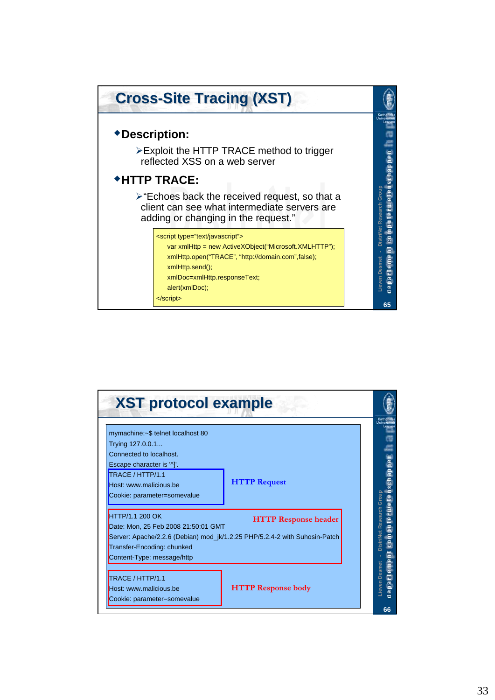![](_page_32_Figure_0.jpeg)

| <b>XST protocol example</b>                                                                                                                                                                                                            |                           |                          |
|----------------------------------------------------------------------------------------------------------------------------------------------------------------------------------------------------------------------------------------|---------------------------|--------------------------|
| mymachine: ~ \$ telnet localhost 80<br>Trying 127.0.0.1<br>Connected to localhost.                                                                                                                                                     |                           |                          |
| Escape character is '^]'.<br>TRACE / HTTP/1.1<br>Host: www.malicious.be<br>Cookie: parameter=somevalue                                                                                                                                 | <b>HTTP Request</b>       | Group<br><b>Research</b> |
| <b>HTTP/1.1 200 OK</b><br><b>HTTP Response header</b><br>Date: Mon, 25 Feb 2008 21:50:01 GMT<br>Server: Apache/2.2.6 (Debian) mod_jk/1.2.25 PHP/5.2.4-2 with Suhosin-Patch<br>Transfer-Encoding: chunked<br>Content-Type: message/http |                           |                          |
| TRACE / HTTP/1.1<br>Host: www.malicious.be<br>Cookie: parameter=somevalue                                                                                                                                                              | <b>HTTP Response body</b> | <b>Desmer</b><br>nevei   |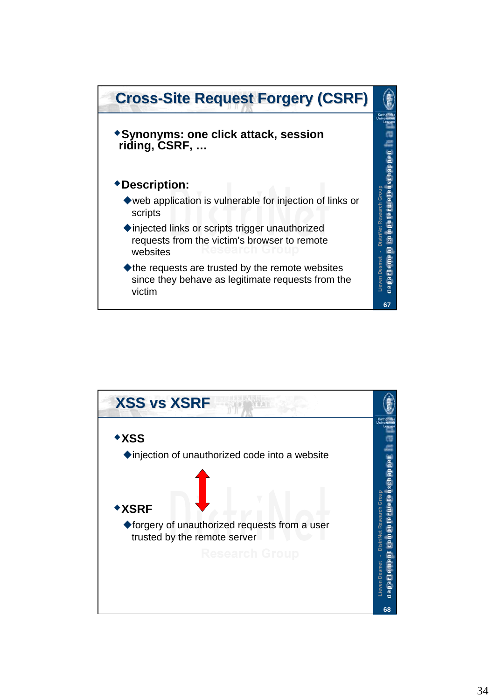![](_page_33_Figure_0.jpeg)

![](_page_33_Figure_1.jpeg)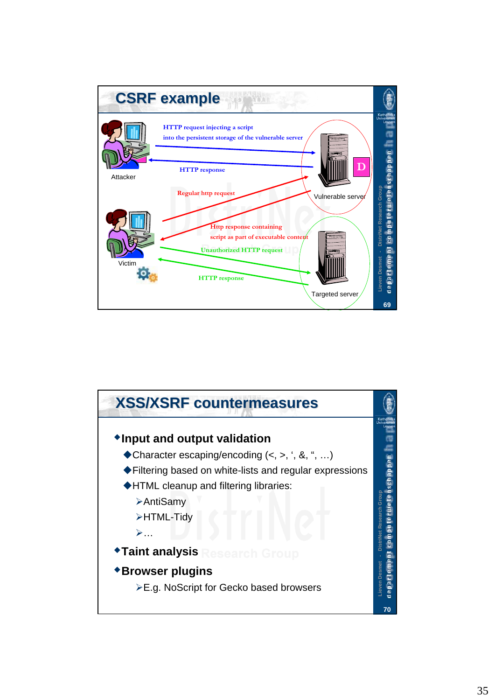![](_page_34_Figure_0.jpeg)

![](_page_34_Figure_1.jpeg)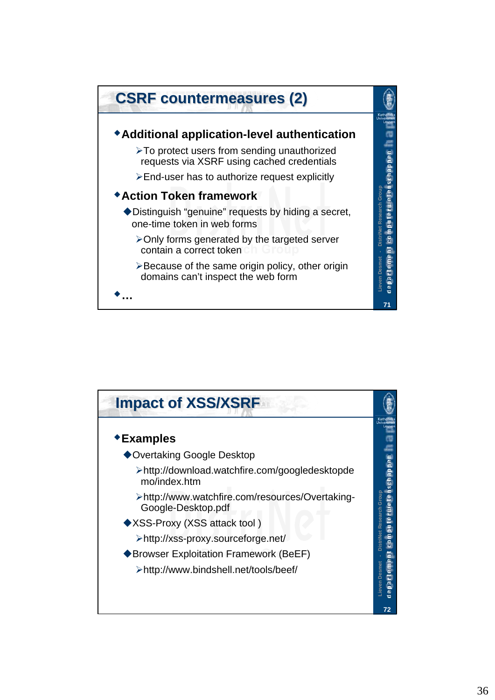![](_page_35_Figure_0.jpeg)

![](_page_35_Figure_1.jpeg)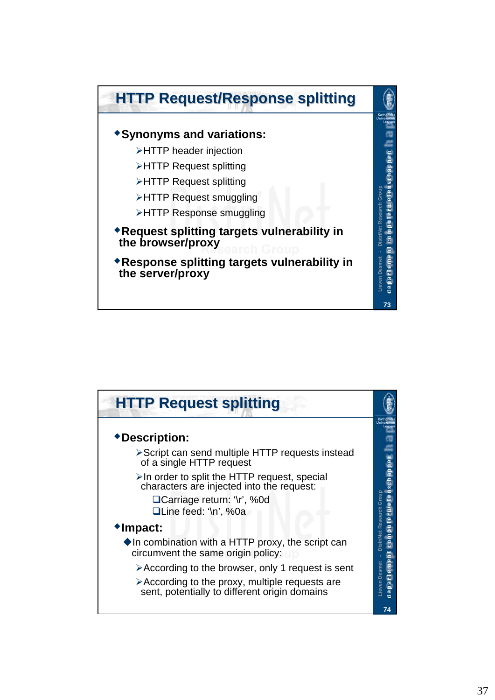![](_page_36_Figure_0.jpeg)

![](_page_36_Figure_1.jpeg)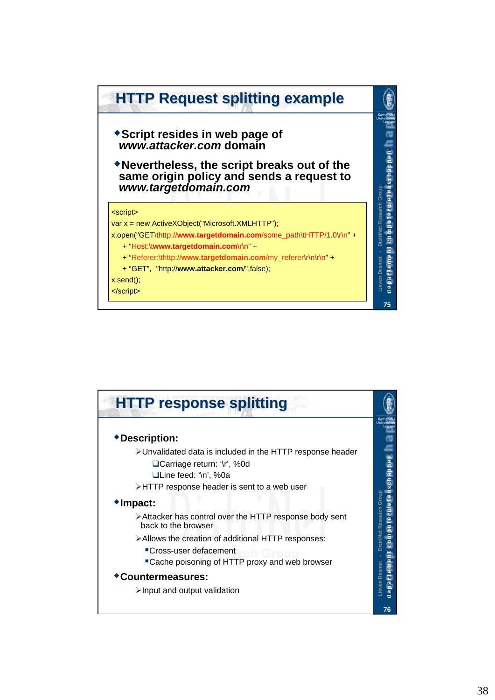![](_page_37_Figure_0.jpeg)

![](_page_37_Picture_1.jpeg)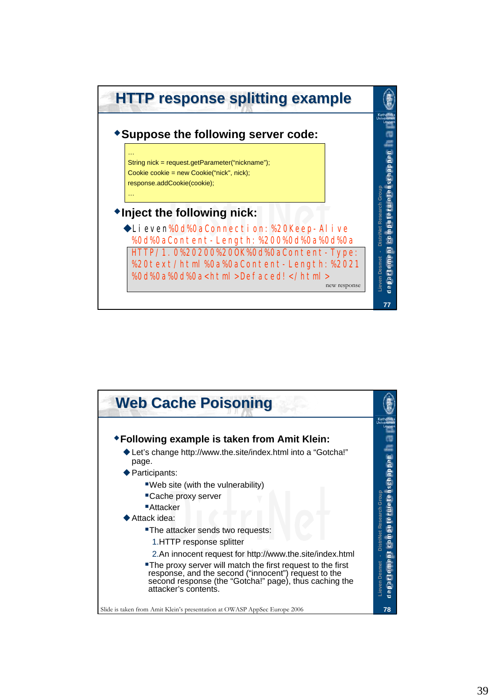![](_page_38_Figure_0.jpeg)

![](_page_38_Figure_1.jpeg)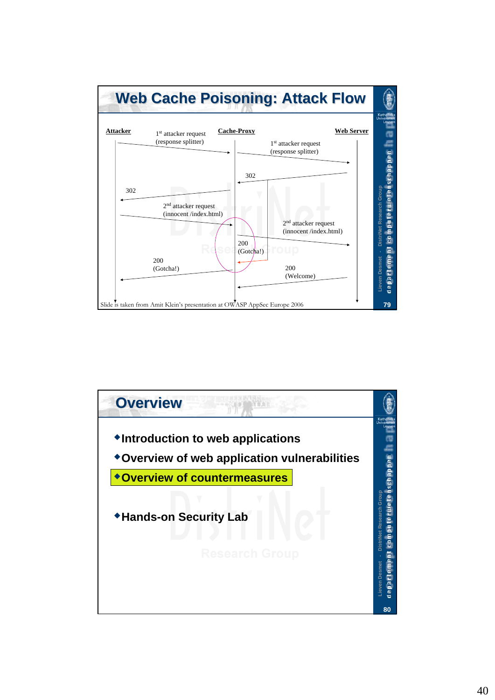![](_page_39_Figure_0.jpeg)

![](_page_39_Figure_1.jpeg)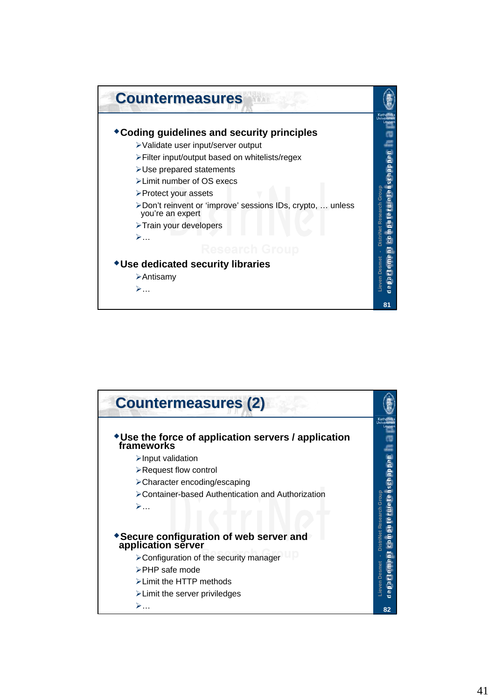![](_page_40_Figure_0.jpeg)

![](_page_40_Picture_1.jpeg)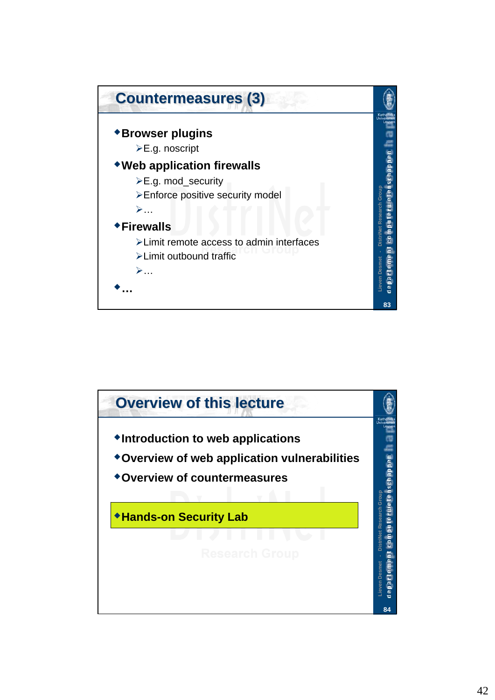![](_page_41_Figure_0.jpeg)

![](_page_41_Figure_1.jpeg)